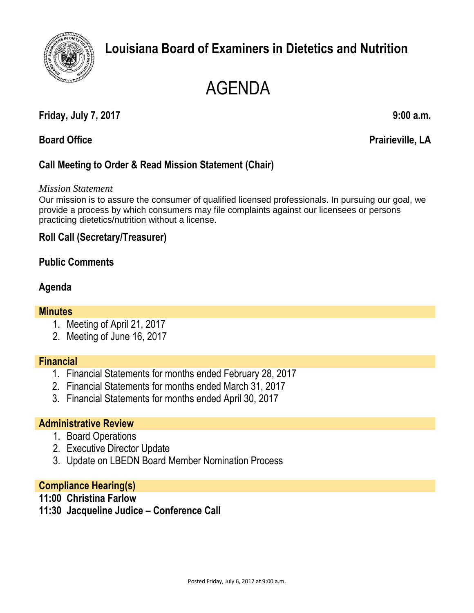

## **Louisiana Board of Examiners in Dietetics and Nutrition**

# AGENDA

#### **Friday, July 7, 2017 9:00 a.m.**

#### **Board Office Prairieville, LA**

### **Call Meeting to Order & Read Mission Statement (Chair)**

#### *Mission Statement*

Our mission is to assure the consumer of qualified licensed professionals. In pursuing our goal, we provide a process by which consumers may file complaints against our licensees or persons practicing dietetics/nutrition without a license.

#### **Roll Call (Secretary/Treasurer)**

#### **Public Comments**

#### **Agenda**

#### **Minutes**

- 1. Meeting of April 21, 2017
- 2. Meeting of June 16, 2017

#### **Financial**

- 1. Financial Statements for months ended February 28, 2017
- 2. Financial Statements for months ended March 31, 2017
- 3. Financial Statements for months ended April 30, 2017

#### **Administrative Review**

- 1. Board Operations
- 2. Executive Director Update
- 3. Update on LBEDN Board Member Nomination Process

#### **Compliance Hearing(s)**

- **11:00 Christina Farlow**
- **11:30 Jacqueline Judice – Conference Call**